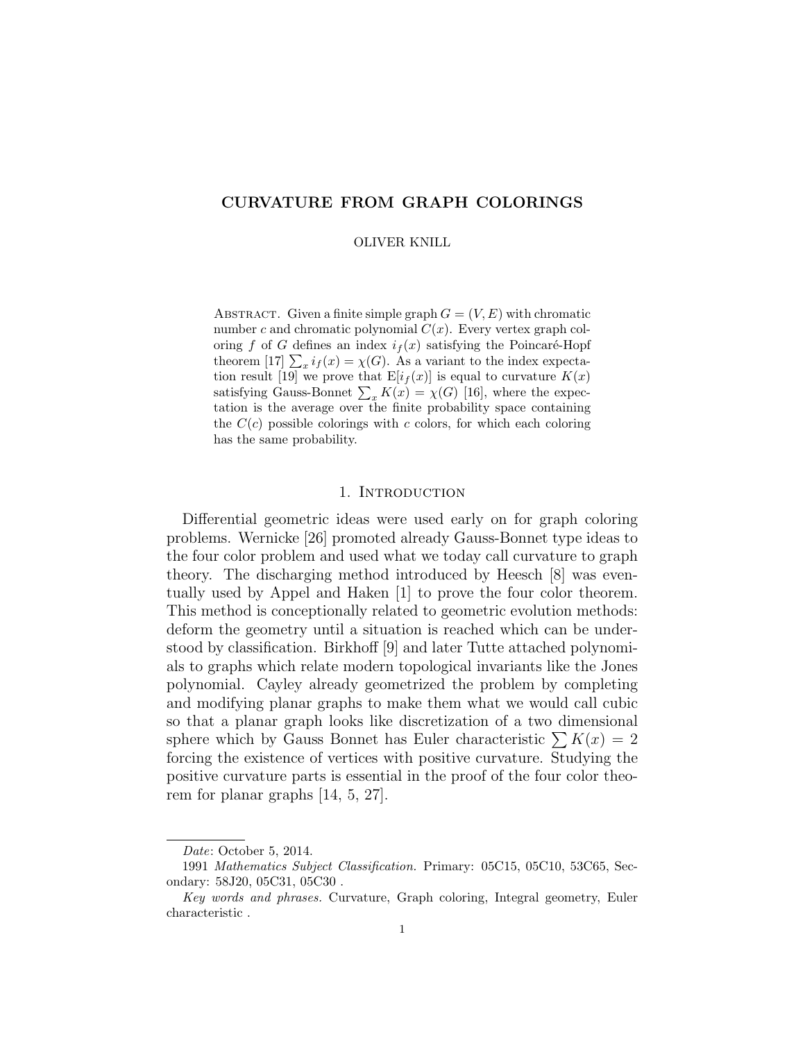# CURVATURE FROM GRAPH COLORINGS

OLIVER KNILL

ABSTRACT. Given a finite simple graph  $G = (V, E)$  with chromatic number c and chromatic polynomial  $C(x)$ . Every vertex graph coloring f of G defines an index  $i_f(x)$  satisfying the Poincaré-Hopf theorem [17]  $\sum_{x} i_f(x) = \chi(G)$ . As a variant to the index expectation result [19] we prove that  $E[i_f(x)]$  is equal to curvature  $K(x)$ satisfying Gauss-Bonnet  $\sum_{x} K(x) = \chi(G)$  [16], where the expectation is the average over the finite probability space containing the  $C(c)$  possible colorings with c colors, for which each coloring has the same probability.

## 1. Introduction

Differential geometric ideas were used early on for graph coloring problems. Wernicke [26] promoted already Gauss-Bonnet type ideas to the four color problem and used what we today call curvature to graph theory. The discharging method introduced by Heesch [8] was eventually used by Appel and Haken [1] to prove the four color theorem. This method is conceptionally related to geometric evolution methods: deform the geometry until a situation is reached which can be understood by classification. Birkhoff [9] and later Tutte attached polynomials to graphs which relate modern topological invariants like the Jones polynomial. Cayley already geometrized the problem by completing and modifying planar graphs to make them what we would call cubic so that a planar graph looks like discretization of a two dimensional sphere which by Gauss Bonnet has Euler characteristic  $\sum K(x) = 2$ forcing the existence of vertices with positive curvature. Studying the positive curvature parts is essential in the proof of the four color theorem for planar graphs [14, 5, 27].

Date: October 5, 2014.

<sup>1991</sup> Mathematics Subject Classification. Primary: 05C15, 05C10, 53C65, Secondary: 58J20, 05C31, 05C30 .

Key words and phrases. Curvature, Graph coloring, Integral geometry, Euler characteristic .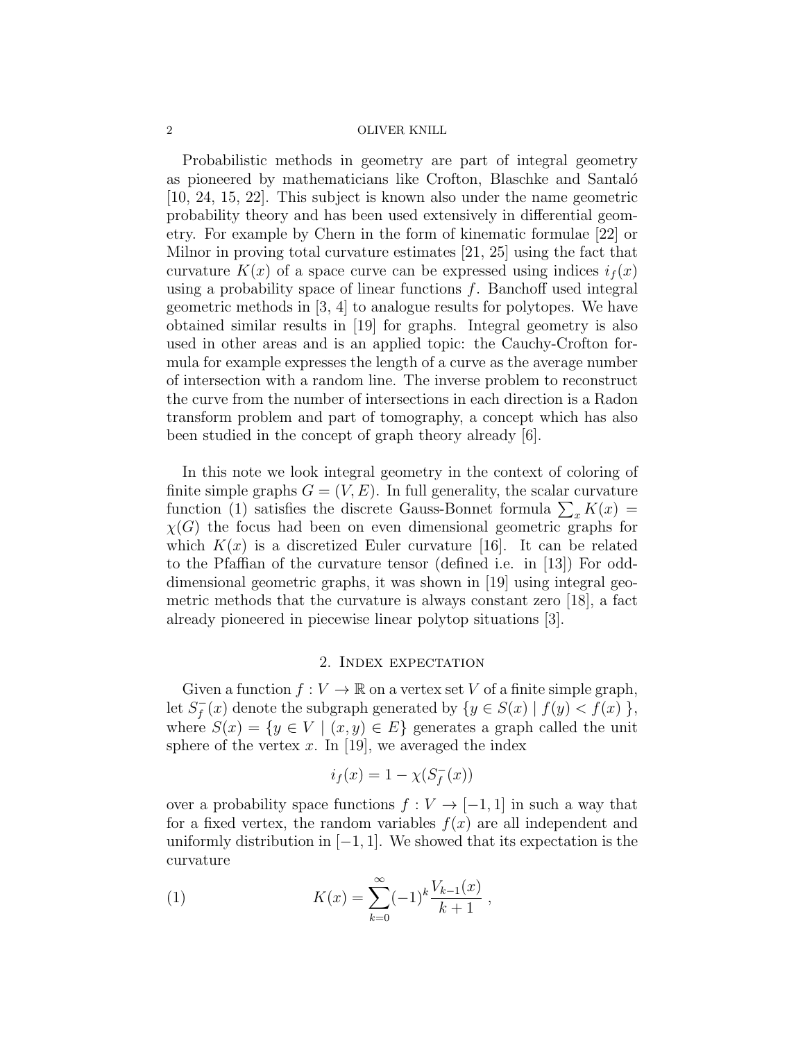Probabilistic methods in geometry are part of integral geometry as pioneered by mathematicians like Crofton, Blaschke and Santaló [10, 24, 15, 22]. This subject is known also under the name geometric probability theory and has been used extensively in differential geometry. For example by Chern in the form of kinematic formulae [22] or Milnor in proving total curvature estimates [21, 25] using the fact that curvature  $K(x)$  of a space curve can be expressed using indices  $i_f(x)$ using a probability space of linear functions  $f$ . Banchoff used integral geometric methods in [3, 4] to analogue results for polytopes. We have obtained similar results in [19] for graphs. Integral geometry is also used in other areas and is an applied topic: the Cauchy-Crofton formula for example expresses the length of a curve as the average number of intersection with a random line. The inverse problem to reconstruct the curve from the number of intersections in each direction is a Radon transform problem and part of tomography, a concept which has also been studied in the concept of graph theory already [6].

In this note we look integral geometry in the context of coloring of finite simple graphs  $G = (V, E)$ . In full generality, the scalar curvature function (1) satisfies the discrete Gauss-Bonnet formula  $\sum_{x} K(x) =$  $\chi(G)$  the focus had been on even dimensional geometric graphs for which  $K(x)$  is a discretized Euler curvature [16]. It can be related to the Pfaffian of the curvature tensor (defined i.e. in [13]) For odddimensional geometric graphs, it was shown in [19] using integral geometric methods that the curvature is always constant zero [18], a fact already pioneered in piecewise linear polytop situations [3].

## 2. Index expectation

Given a function  $f: V \to \mathbb{R}$  on a vertex set V of a finite simple graph, let  $S_f^$  $f_f(x)$  denote the subgraph generated by  $\{y \in S(x) \mid f(y) < f(x)\}\,$ where  $S(x) = \{y \in V \mid (x, y) \in E\}$  generates a graph called the unit sphere of the vertex x. In [19], we averaged the index

$$
i_f(x) = 1 - \chi(S_f^-(x))
$$

over a probability space functions  $f: V \to [-1, 1]$  in such a way that for a fixed vertex, the random variables  $f(x)$  are all independent and uniformly distribution in  $[-1, 1]$ . We showed that its expectation is the curvature

(1) 
$$
K(x) = \sum_{k=0}^{\infty} (-1)^k \frac{V_{k-1}(x)}{k+1},
$$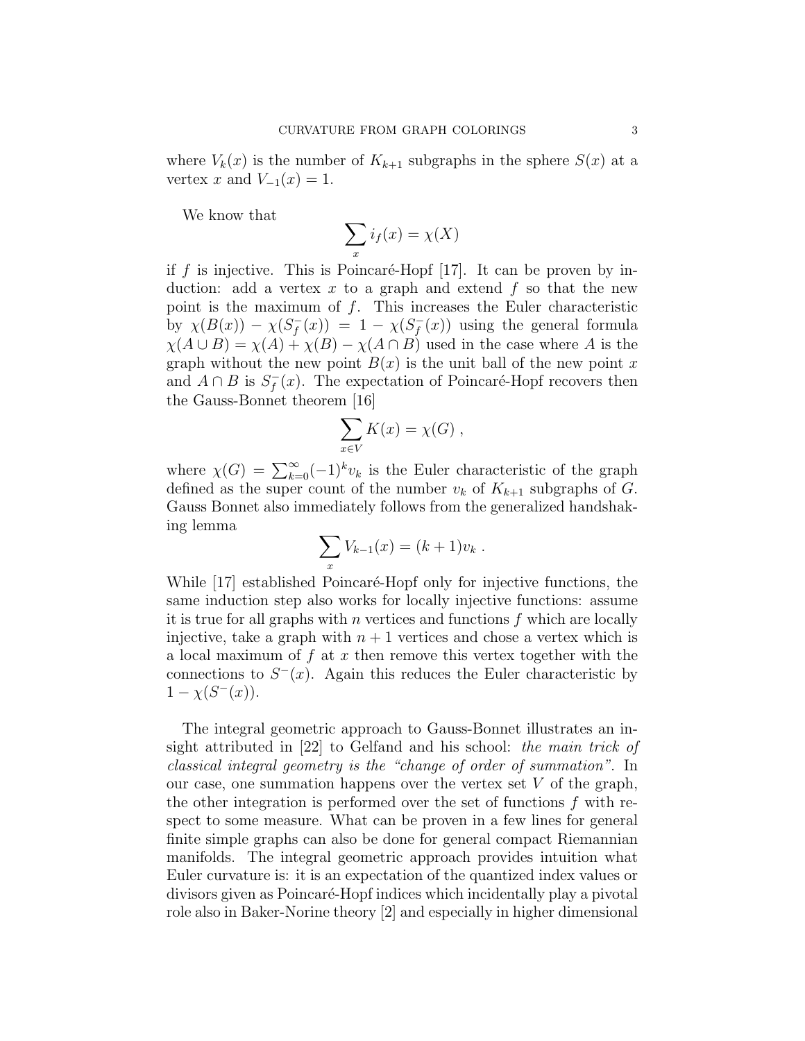where  $V_k(x)$  is the number of  $K_{k+1}$  subgraphs in the sphere  $S(x)$  at a vertex x and  $V_{-1}(x) = 1$ .

We know that

$$
\sum_{x} i_f(x) = \chi(X)
$$

if f is injective. This is Poincaré-Hopf  $|17|$ . It can be proven by induction: add a vertex x to a graph and extend  $f$  so that the new point is the maximum of  $f$ . This increases the Euler characteristic by  $\chi(B(x)) - \chi(S_f^-)$  $f_{f}^{-}(x)$ ) = 1 -  $\chi(S_{f}^{-})$  $f_{f}^{-}(x)$  using the general formula  $\chi(A \cup B) = \chi(A) + \chi(B) - \chi(A \cap B)$  used in the case where A is the graph without the new point  $B(x)$  is the unit ball of the new point x and  $A \cap B$  is  $S_f^$  $f_{f}(x)$ . The expectation of Poincaré-Hopf recovers then the Gauss-Bonnet theorem [16]

$$
\sum_{x \in V} K(x) = \chi(G) ,
$$

where  $\chi(G) = \sum_{k=0}^{\infty} (-1)^k v_k$  is the Euler characteristic of the graph defined as the super count of the number  $v_k$  of  $K_{k+1}$  subgraphs of G. Gauss Bonnet also immediately follows from the generalized handshaking lemma

$$
\sum_{x} V_{k-1}(x) = (k+1)v_k.
$$

While [17] established Poincaré-Hopf only for injective functions, the same induction step also works for locally injective functions: assume it is true for all graphs with  $n$  vertices and functions  $f$  which are locally injective, take a graph with  $n + 1$  vertices and chose a vertex which is a local maximum of  $f$  at  $x$  then remove this vertex together with the connections to  $S<sup>-</sup>(x)$ . Again this reduces the Euler characteristic by  $1 - \chi(S^{-}(x)).$ 

The integral geometric approach to Gauss-Bonnet illustrates an insight attributed in [22] to Gelfand and his school: the main trick of classical integral geometry is the "change of order of summation". In our case, one summation happens over the vertex set  $V$  of the graph, the other integration is performed over the set of functions  $f$  with respect to some measure. What can be proven in a few lines for general finite simple graphs can also be done for general compact Riemannian manifolds. The integral geometric approach provides intuition what Euler curvature is: it is an expectation of the quantized index values or divisors given as Poincar´e-Hopf indices which incidentally play a pivotal role also in Baker-Norine theory [2] and especially in higher dimensional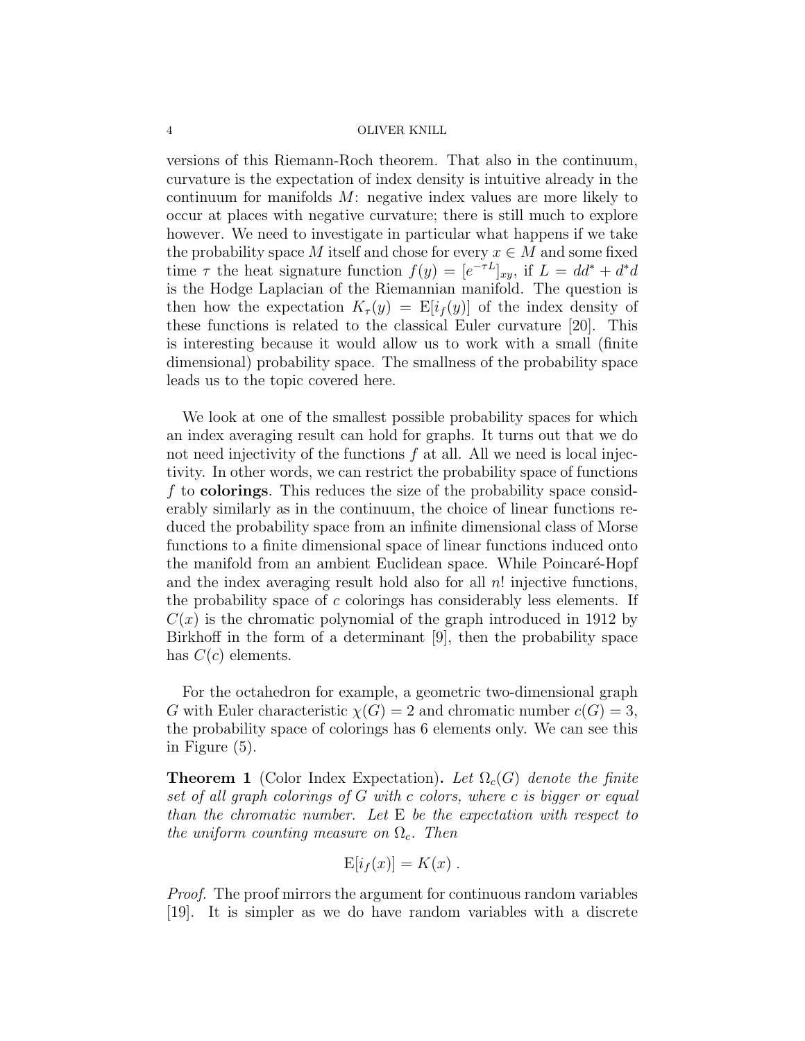versions of this Riemann-Roch theorem. That also in the continuum, curvature is the expectation of index density is intuitive already in the continuum for manifolds M: negative index values are more likely to occur at places with negative curvature; there is still much to explore however. We need to investigate in particular what happens if we take the probability space M itself and chose for every  $x \in M$  and some fixed time  $\tau$  the heat signature function  $f(y) = [e^{-\tau L}]_{xy}$ , if  $L = dd^* + d^*d$ is the Hodge Laplacian of the Riemannian manifold. The question is then how the expectation  $K_{\tau}(y) = \mathbb{E}[i_f(y)]$  of the index density of these functions is related to the classical Euler curvature [20]. This is interesting because it would allow us to work with a small (finite dimensional) probability space. The smallness of the probability space leads us to the topic covered here.

We look at one of the smallest possible probability spaces for which an index averaging result can hold for graphs. It turns out that we do not need injectivity of the functions  $f$  at all. All we need is local injectivity. In other words, we can restrict the probability space of functions  $f$  to **colorings**. This reduces the size of the probability space considerably similarly as in the continuum, the choice of linear functions reduced the probability space from an infinite dimensional class of Morse functions to a finite dimensional space of linear functions induced onto the manifold from an ambient Euclidean space. While Poincaré-Hopf and the index averaging result hold also for all  $n!$  injective functions, the probability space of  $c$  colorings has considerably less elements. If  $C(x)$  is the chromatic polynomial of the graph introduced in 1912 by Birkhoff in the form of a determinant [9], then the probability space has  $C(c)$  elements.

For the octahedron for example, a geometric two-dimensional graph G with Euler characteristic  $\chi(G) = 2$  and chromatic number  $c(G) = 3$ , the probability space of colorings has 6 elements only. We can see this in Figure (5).

**Theorem 1** (Color Index Expectation). Let  $\Omega_c(G)$  denote the finite set of all graph colorings of G with c colors, where c is bigger or equal than the chromatic number. Let E be the expectation with respect to the uniform counting measure on  $\Omega_c$ . Then

$$
E[i_f(x)] = K(x) .
$$

Proof. The proof mirrors the argument for continuous random variables [19]. It is simpler as we do have random variables with a discrete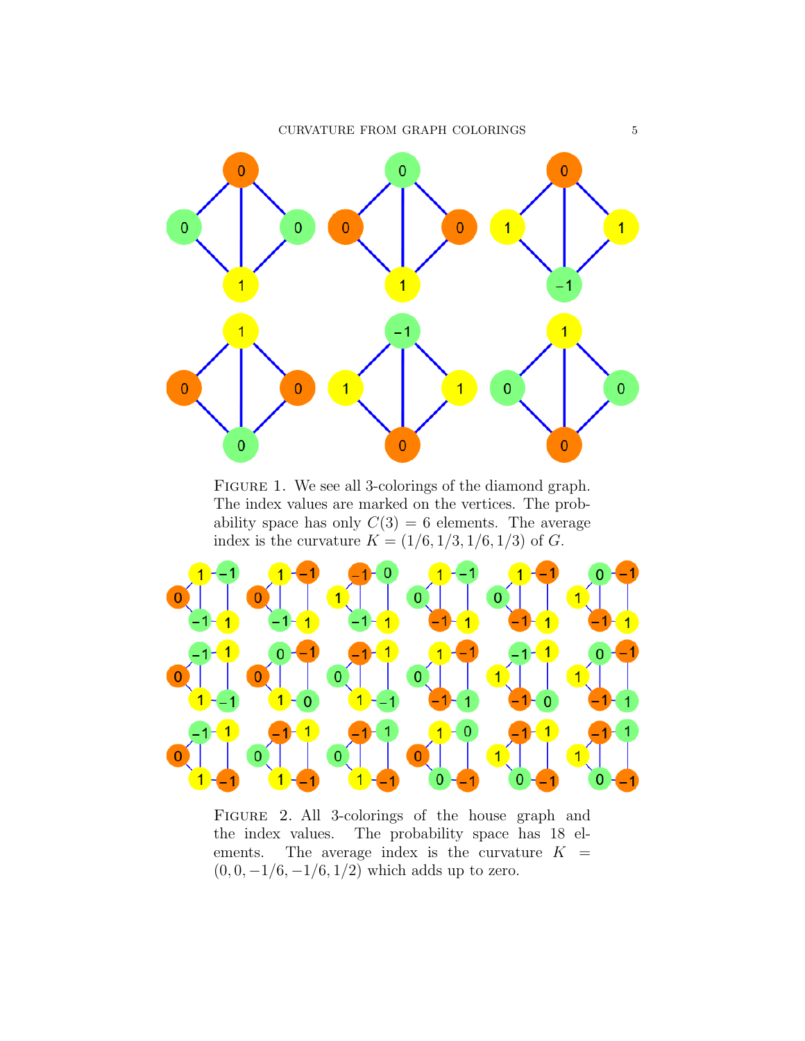${\bf CURVATURE\,\, FROM\,\,GRAPH\,\,COLORINGS} \qquad \qquad 5$ 



FIGURE 1. We see all 3-colorings of the diamond graph. The index values are marked on the vertices. The probability space has only  $C(3) = 6$  elements. The average index is the curvature  $K = (1/6, 1/3, 1/6, 1/3)$  of G.



Figure 2. All 3-colorings of the house graph and the index values. The probability space has 18 elements. The average index is the curvature  $K =$  $(0, 0, -1/6, -1/6, 1/2)$  which adds up to zero.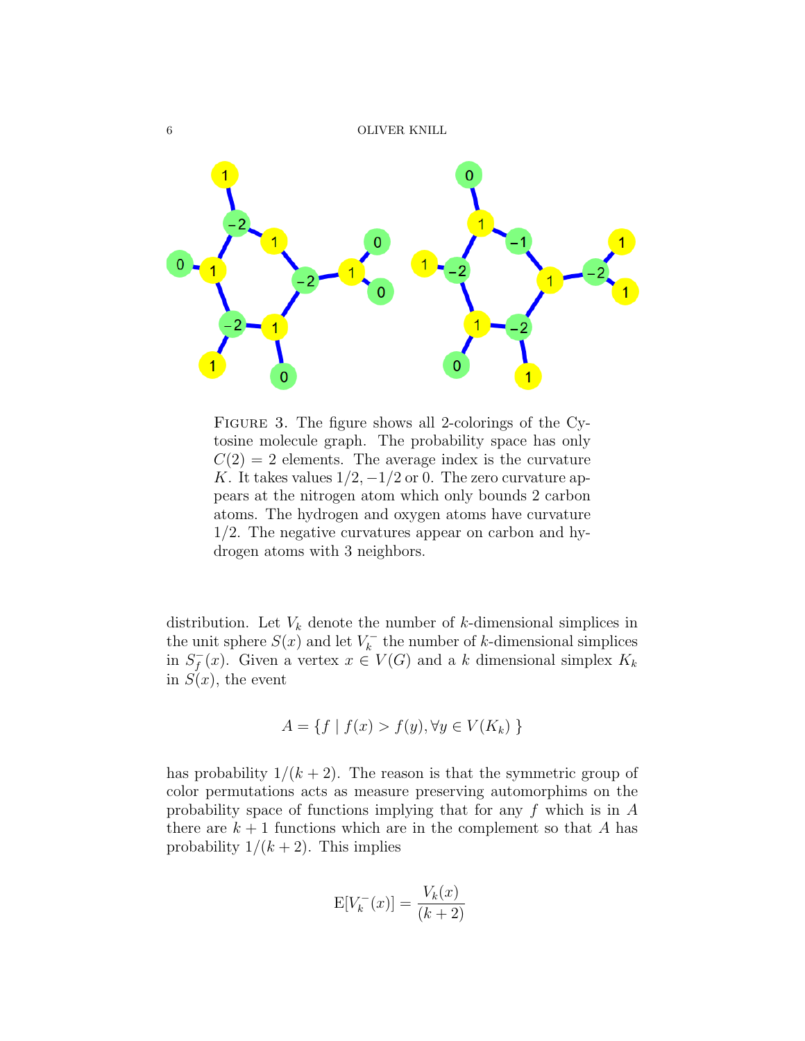

Figure 3. The figure shows all 2-colorings of the Cytosine molecule graph. The probability space has only  $C(2) = 2$  elements. The average index is the curvature K. It takes values  $1/2$ ,  $-1/2$  or 0. The zero curvature appears at the nitrogen atom which only bounds 2 carbon atoms. The hydrogen and oxygen atoms have curvature 1/2. The negative curvatures appear on carbon and hydrogen atoms with 3 neighbors.

distribution. Let  $V_k$  denote the number of k-dimensional simplices in the unit sphere  $S(x)$  and let  $V_k^ \bar{k}_{k}$  the number of k-dimensional simplices in  $S_f^$  $f_{f}(x)$ . Given a vertex  $x \in V(G)$  and a k dimensional simplex  $K_{k}$ in  $S(x)$ , the event

$$
A = \{ f \mid f(x) > f(y), \forall y \in V(K_k) \}
$$

has probability  $1/(k+2)$ . The reason is that the symmetric group of color permutations acts as measure preserving automorphims on the probability space of functions implying that for any f which is in A there are  $k + 1$  functions which are in the complement so that A has probability  $1/(k+2)$ . This implies

$$
E[V_k^-(x)] = \frac{V_k(x)}{(k+2)}
$$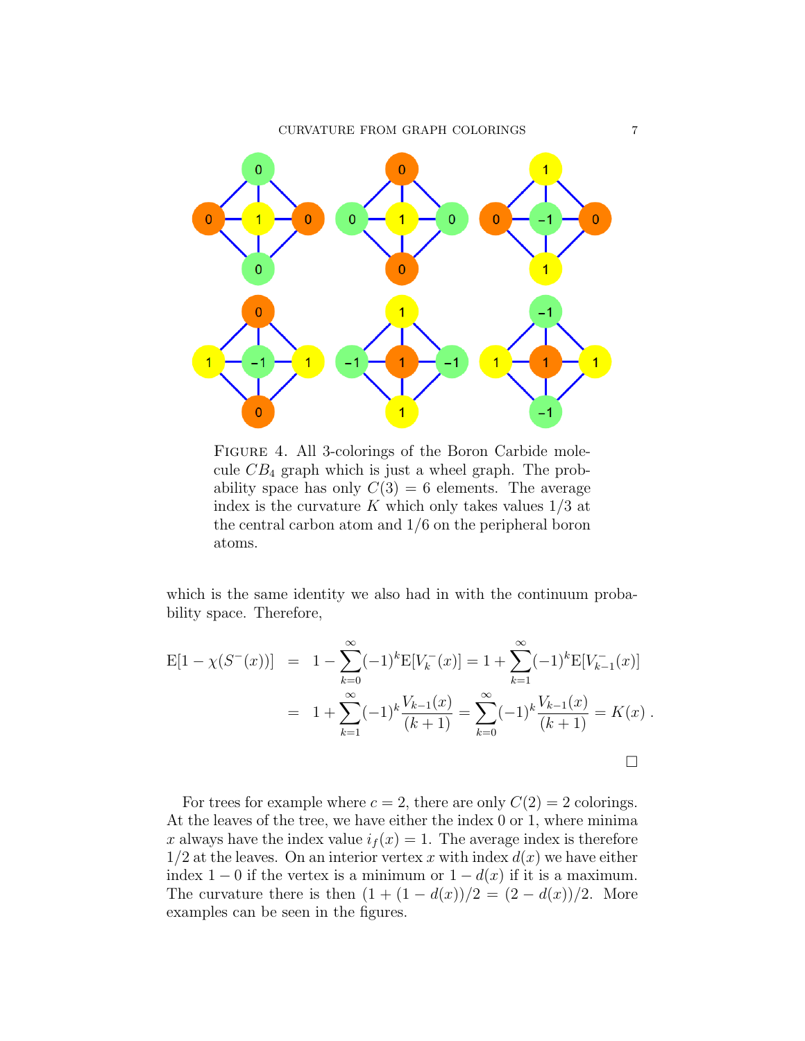

Figure 4. All 3-colorings of the Boron Carbide molecule  $CB_4$  graph which is just a wheel graph. The probability space has only  $C(3) = 6$  elements. The average index is the curvature K which only takes values  $1/3$  at the central carbon atom and 1/6 on the peripheral boron atoms.

which is the same identity we also had in with the continuum probability space. Therefore,

$$
E[1 - \chi(S^-(x))] = 1 - \sum_{k=0}^{\infty} (-1)^k E[V_k^-(x)] = 1 + \sum_{k=1}^{\infty} (-1)^k E[V_{k-1}^-(x)]
$$
  
= 
$$
1 + \sum_{k=1}^{\infty} (-1)^k \frac{V_{k-1}(x)}{(k+1)} = \sum_{k=0}^{\infty} (-1)^k \frac{V_{k-1}(x)}{(k+1)} = K(x) .
$$

For trees for example where  $c = 2$ , there are only  $C(2) = 2$  colorings. At the leaves of the tree, we have either the index 0 or 1, where minima x always have the index value  $i_f(x) = 1$ . The average index is therefore  $1/2$  at the leaves. On an interior vertex x with index  $d(x)$  we have either index 1 − 0 if the vertex is a minimum or  $1 - d(x)$  if it is a maximum. The curvature there is then  $(1 + (1 - d(x))/2 = (2 - d(x))/2$ . More examples can be seen in the figures.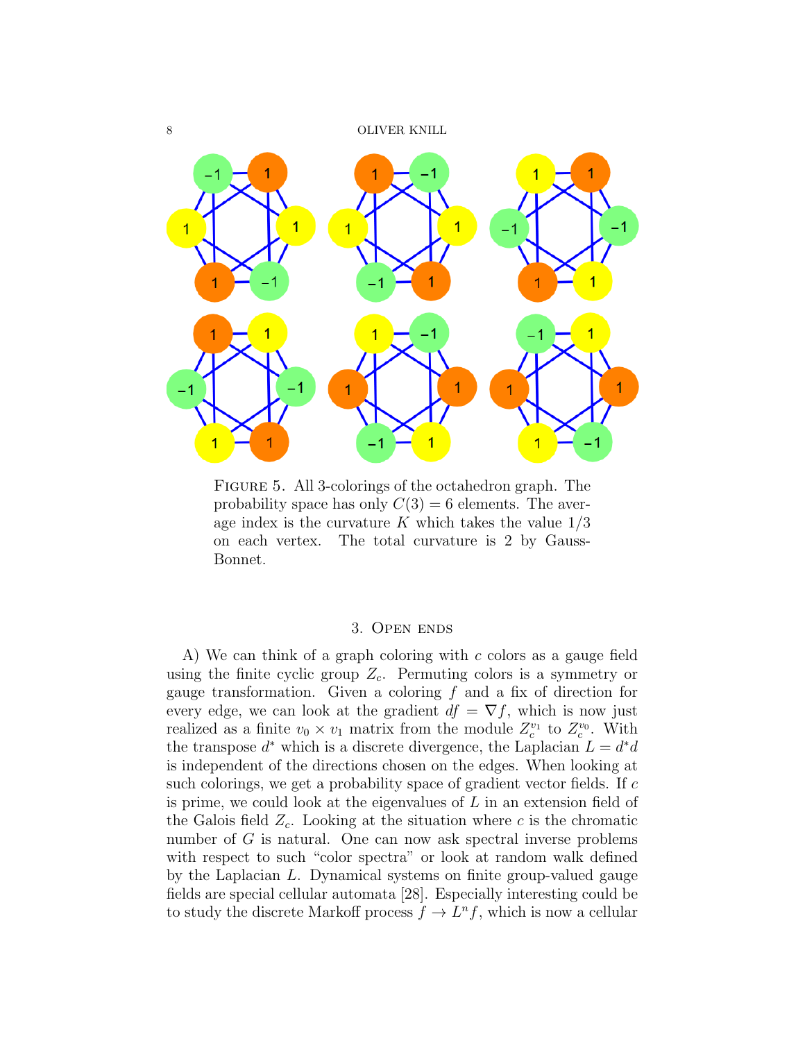8 OLIVER KNILL



Figure 5. All 3-colorings of the octahedron graph. The probability space has only  $C(3) = 6$  elements. The average index is the curvature K which takes the value  $1/3$ on each vertex. The total curvature is 2 by Gauss-Bonnet.

## 3. Open ends

A) We can think of a graph coloring with c colors as a gauge field using the finite cyclic group  $Z_c$ . Permuting colors is a symmetry or gauge transformation. Given a coloring  $f$  and a fix of direction for every edge, we can look at the gradient  $df = \nabla f$ , which is now just realized as a finite  $v_0 \times v_1$  matrix from the module  $Z_c^{v_1}$  to  $Z_c^{v_0}$ . With the transpose  $d^*$  which is a discrete divergence, the Laplacian  $L = d^*d$ is independent of the directions chosen on the edges. When looking at such colorings, we get a probability space of gradient vector fields. If c is prime, we could look at the eigenvalues of L in an extension field of the Galois field  $Z_c$ . Looking at the situation where c is the chromatic number of G is natural. One can now ask spectral inverse problems with respect to such "color spectra" or look at random walk defined by the Laplacian L. Dynamical systems on finite group-valued gauge fields are special cellular automata [28]. Especially interesting could be to study the discrete Markoff process  $f \to L^n f$ , which is now a cellular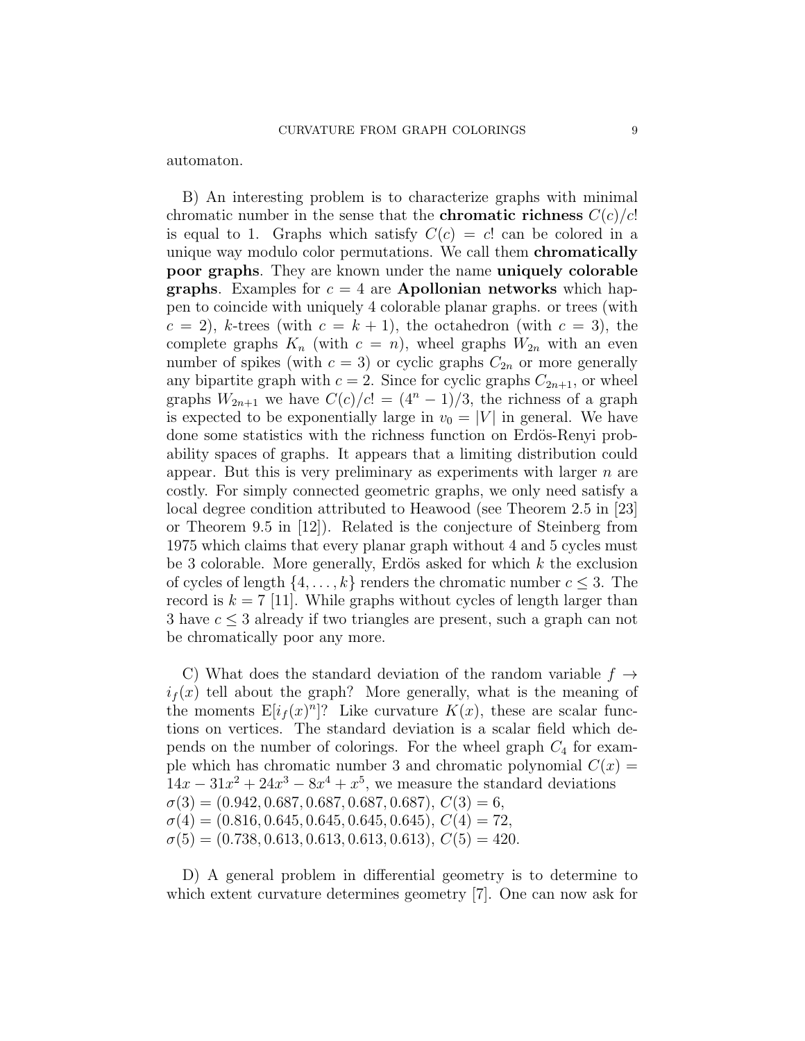automaton.

B) An interesting problem is to characterize graphs with minimal chromatic number in the sense that the **chromatic richness**  $C(c)/c!$ is equal to 1. Graphs which satisfy  $C(c) = c!$  can be colored in a unique way modulo color permutations. We call them chromatically poor graphs. They are known under the name uniquely colorable graphs. Examples for  $c = 4$  are Apollonian networks which happen to coincide with uniquely 4 colorable planar graphs. or trees (with  $c = 2$ , k-trees (with  $c = k + 1$ ), the octahedron (with  $c = 3$ ), the complete graphs  $K_n$  (with  $c = n$ ), wheel graphs  $W_{2n}$  with an even number of spikes (with  $c = 3$ ) or cyclic graphs  $C_{2n}$  or more generally any bipartite graph with  $c = 2$ . Since for cyclic graphs  $C_{2n+1}$ , or wheel graphs  $W_{2n+1}$  we have  $C(c)/c! = (4^n - 1)/3$ , the richness of a graph is expected to be exponentially large in  $v_0 = |V|$  in general. We have done some statistics with the richness function on Erdös-Renyi probability spaces of graphs. It appears that a limiting distribution could appear. But this is very preliminary as experiments with larger  $n$  are costly. For simply connected geometric graphs, we only need satisfy a local degree condition attributed to Heawood (see Theorem 2.5 in [23] or Theorem 9.5 in [12]). Related is the conjecture of Steinberg from 1975 which claims that every planar graph without 4 and 5 cycles must be 3 colorable. More generally, Erdös asked for which  $k$  the exclusion of cycles of length  $\{4, \ldots, k\}$  renders the chromatic number  $c \leq 3$ . The record is  $k = 7$  [11]. While graphs without cycles of length larger than 3 have  $c \leq 3$  already if two triangles are present, such a graph can not be chromatically poor any more.

C) What does the standard deviation of the random variable  $f \rightarrow$  $i<sub>f</sub>(x)$  tell about the graph? More generally, what is the meaning of the moments  $E[i_f(x)^n]$ ? Like curvature  $K(x)$ , these are scalar functions on vertices. The standard deviation is a scalar field which depends on the number of colorings. For the wheel graph  $C_4$  for example which has chromatic number 3 and chromatic polynomial  $C(x) =$  $14x - 31x^2 + 24x^3 - 8x^4 + x^5$ , we measure the standard deviations  $\sigma(3) = (0.942, 0.687, 0.687, 0.687, 0.687, 0.687), C(3) = 6,$  $\sigma(4) = (0.816, 0.645, 0.645, 0.645, 0.645), C(4) = 72,$  $\sigma(5) = (0.738, 0.613, 0.613, 0.613, 0.613), C(5) = 420.$ 

D) A general problem in differential geometry is to determine to which extent curvature determines geometry [7]. One can now ask for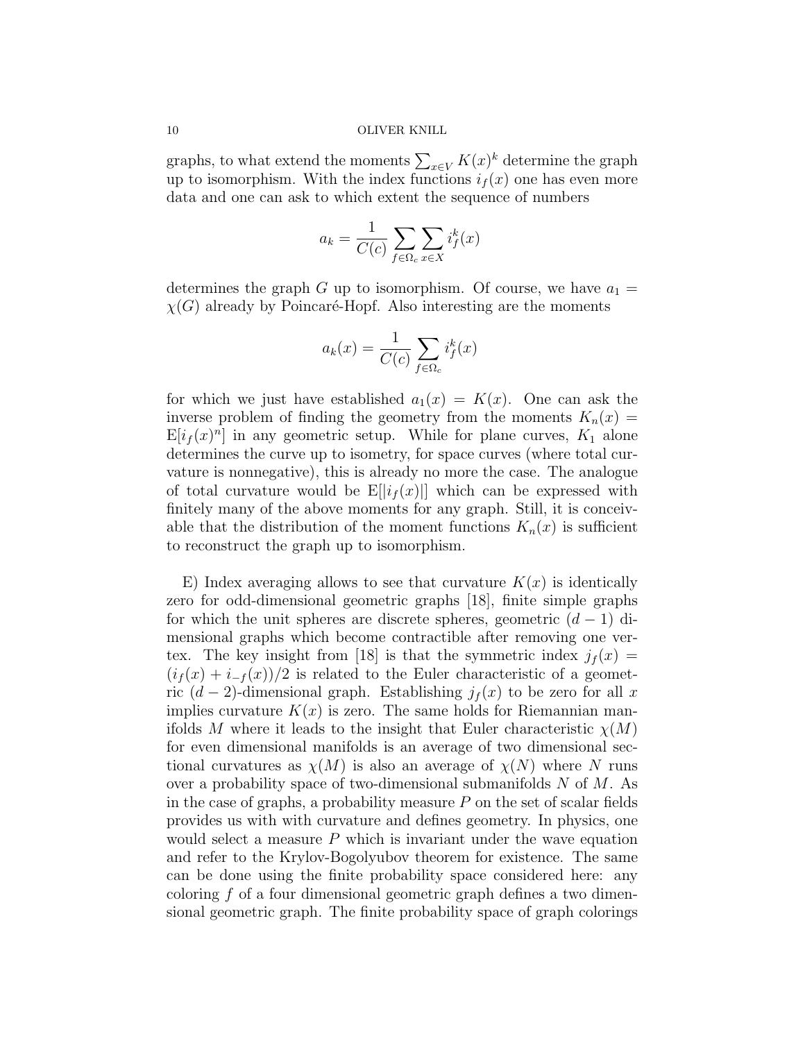graphs, to what extend the moments  $\sum_{x \in V} K(x)^k$  determine the graph up to isomorphism. With the index functions  $i_f(x)$  one has even more data and one can ask to which extent the sequence of numbers

$$
a_k = \frac{1}{C(c)} \sum_{f \in \Omega_c} \sum_{x \in X} i_f^k(x)
$$

determines the graph G up to isomorphism. Of course, we have  $a_1 =$  $\chi(G)$  already by Poincaré-Hopf. Also interesting are the moments

$$
a_k(x) = \frac{1}{C(c)} \sum_{f \in \Omega_c} i_f^k(x)
$$

for which we just have established  $a_1(x) = K(x)$ . One can ask the inverse problem of finding the geometry from the moments  $K_n(x) =$  $E[i_f(x)^n]$  in any geometric setup. While for plane curves,  $K_1$  alone determines the curve up to isometry, for space curves (where total curvature is nonnegative), this is already no more the case. The analogue of total curvature would be  $E[|i_f(x)||]$  which can be expressed with finitely many of the above moments for any graph. Still, it is conceivable that the distribution of the moment functions  $K_n(x)$  is sufficient to reconstruct the graph up to isomorphism.

E) Index averaging allows to see that curvature  $K(x)$  is identically zero for odd-dimensional geometric graphs [18], finite simple graphs for which the unit spheres are discrete spheres, geometric  $(d-1)$  dimensional graphs which become contractible after removing one vertex. The key insight from [18] is that the symmetric index  $j_f(x) =$  $(i_f(x) + i_{-f}(x))/2$  is related to the Euler characteristic of a geometric  $(d-2)$ -dimensional graph. Establishing  $j_f(x)$  to be zero for all x implies curvature  $K(x)$  is zero. The same holds for Riemannian manifolds M where it leads to the insight that Euler characteristic  $\chi(M)$ for even dimensional manifolds is an average of two dimensional sectional curvatures as  $\chi(M)$  is also an average of  $\chi(N)$  where N runs over a probability space of two-dimensional submanifolds  $N$  of  $M$ . As in the case of graphs, a probability measure  $P$  on the set of scalar fields provides us with with curvature and defines geometry. In physics, one would select a measure  $P$  which is invariant under the wave equation and refer to the Krylov-Bogolyubov theorem for existence. The same can be done using the finite probability space considered here: any coloring f of a four dimensional geometric graph defines a two dimensional geometric graph. The finite probability space of graph colorings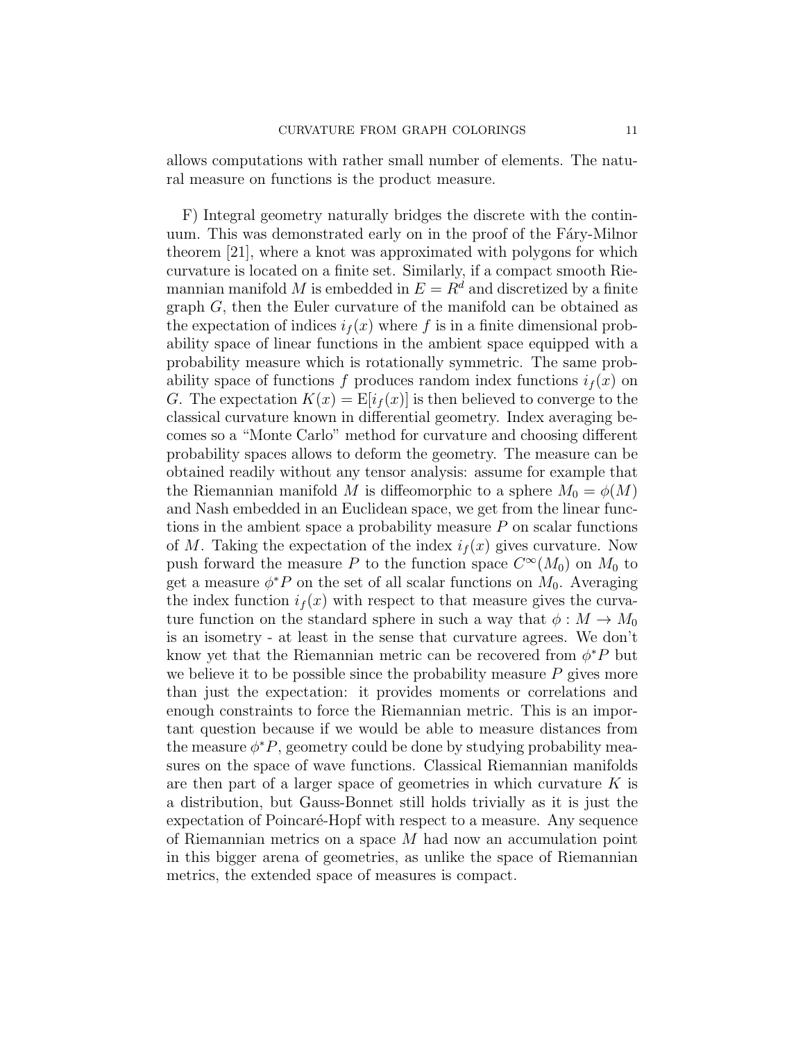allows computations with rather small number of elements. The natural measure on functions is the product measure.

F) Integral geometry naturally bridges the discrete with the continuum. This was demonstrated early on in the proof of the Fary-Milnor theorem [21], where a knot was approximated with polygons for which curvature is located on a finite set. Similarly, if a compact smooth Riemannian manifold M is embedded in  $E = R<sup>d</sup>$  and discretized by a finite graph G, then the Euler curvature of the manifold can be obtained as the expectation of indices  $i<sub>f</sub>(x)$  where f is in a finite dimensional probability space of linear functions in the ambient space equipped with a probability measure which is rotationally symmetric. The same probability space of functions f produces random index functions  $i_f(x)$  on G. The expectation  $K(x) = \mathbb{E}[i_f(x)]$  is then believed to converge to the classical curvature known in differential geometry. Index averaging becomes so a "Monte Carlo" method for curvature and choosing different probability spaces allows to deform the geometry. The measure can be obtained readily without any tensor analysis: assume for example that the Riemannian manifold M is diffeomorphic to a sphere  $M_0 = \phi(M)$ and Nash embedded in an Euclidean space, we get from the linear functions in the ambient space a probability measure  $P$  on scalar functions of M. Taking the expectation of the index  $i_f(x)$  gives curvature. Now push forward the measure P to the function space  $C^{\infty}(M_0)$  on  $M_0$  to get a measure  $\phi^* P$  on the set of all scalar functions on  $M_0$ . Averaging the index function  $i_f(x)$  with respect to that measure gives the curvature function on the standard sphere in such a way that  $\phi : M \to M_0$ is an isometry - at least in the sense that curvature agrees. We don't know yet that the Riemannian metric can be recovered from  $\phi^* P$  but we believe it to be possible since the probability measure  $P$  gives more than just the expectation: it provides moments or correlations and enough constraints to force the Riemannian metric. This is an important question because if we would be able to measure distances from the measure  $\phi^* P$ , geometry could be done by studying probability measures on the space of wave functions. Classical Riemannian manifolds are then part of a larger space of geometries in which curvature  $K$  is a distribution, but Gauss-Bonnet still holds trivially as it is just the expectation of Poincaré-Hopf with respect to a measure. Any sequence of Riemannian metrics on a space M had now an accumulation point in this bigger arena of geometries, as unlike the space of Riemannian metrics, the extended space of measures is compact.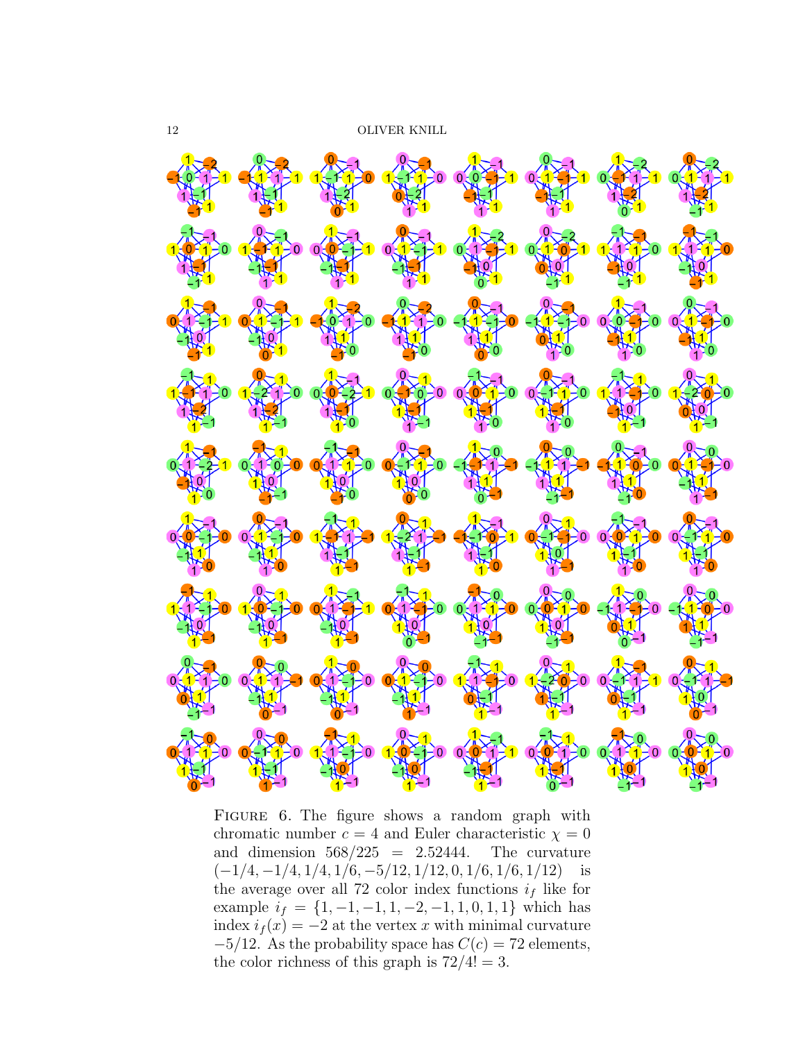

Figure 6. The figure shows a random graph with chromatic number  $c = 4$  and Euler characteristic  $\chi = 0$ and dimension  $568/225 = 2.52444$ . The curvature  $(-1/4, -1/4, 1/4, 1/6, -5/12, 1/12, 0, 1/6, 1/6, 1/12)$  is the average over all 72 color index functions  $i_f$  like for example  $i_f = \{1, -1, -1, 1, -2, -1, 1, 0, 1, 1\}$  which has index  $i_f(x) = -2$  at the vertex x with minimal curvature  $-5/12$ . As the probability space has  $C(c) = 72$  elements, the color richness of this graph is  $72/4! = 3$ .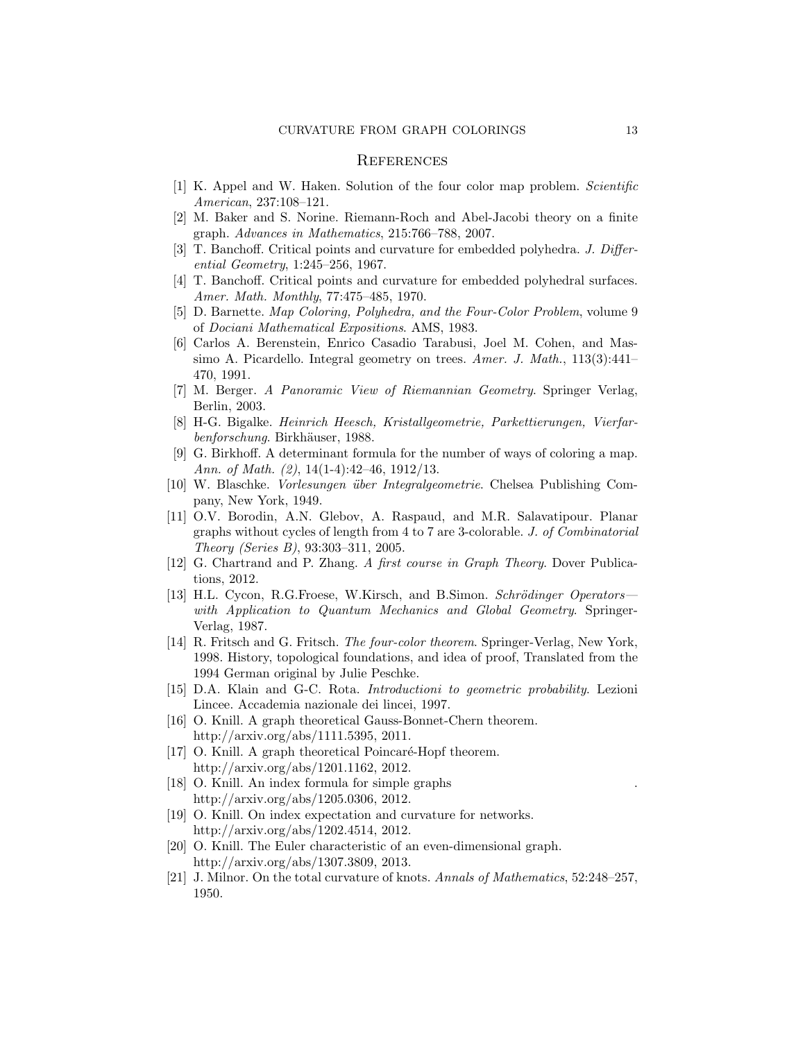## **REFERENCES**

- [1] K. Appel and W. Haken. Solution of the four color map problem. Scientific American, 237:108–121.
- [2] M. Baker and S. Norine. Riemann-Roch and Abel-Jacobi theory on a finite graph. Advances in Mathematics, 215:766–788, 2007.
- [3] T. Banchoff. Critical points and curvature for embedded polyhedra. J. Differential Geometry, 1:245–256, 1967.
- [4] T. Banchoff. Critical points and curvature for embedded polyhedral surfaces. Amer. Math. Monthly, 77:475–485, 1970.
- [5] D. Barnette. Map Coloring, Polyhedra, and the Four-Color Problem, volume 9 of Dociani Mathematical Expositions. AMS, 1983.
- [6] Carlos A. Berenstein, Enrico Casadio Tarabusi, Joel M. Cohen, and Massimo A. Picardello. Integral geometry on trees. Amer. J. Math., 113(3):441-470, 1991.
- [7] M. Berger. A Panoramic View of Riemannian Geometry. Springer Verlag, Berlin, 2003.
- [8] H-G. Bigalke. Heinrich Heesch, Kristallgeometrie, Parkettierungen, Vierfarbenforschung. Birkhäuser, 1988.
- [9] G. Birkhoff. A determinant formula for the number of ways of coloring a map. Ann. of Math. (2), 14(1-4):42-46, 1912/13.
- [10] W. Blaschke. Vorlesungen ¨uber Integralgeometrie. Chelsea Publishing Company, New York, 1949.
- [11] O.V. Borodin, A.N. Glebov, A. Raspaud, and M.R. Salavatipour. Planar graphs without cycles of length from 4 to 7 are 3-colorable. J. of Combinatorial Theory (Series B), 93:303–311, 2005.
- [12] G. Chartrand and P. Zhang. A first course in Graph Theory. Dover Publications, 2012.
- [13] H.L. Cycon, R.G.Froese, W.Kirsch, and B.Simon. Schrödinger Operators with Application to Quantum Mechanics and Global Geometry. Springer-Verlag, 1987.
- [14] R. Fritsch and G. Fritsch. The four-color theorem. Springer-Verlag, New York, 1998. History, topological foundations, and idea of proof, Translated from the 1994 German original by Julie Peschke.
- [15] D.A. Klain and G-C. Rota. Introductioni to geometric probability. Lezioni Lincee. Accademia nazionale dei lincei, 1997.
- [16] O. Knill. A graph theoretical Gauss-Bonnet-Chern theorem. http://arxiv.org/abs/1111.5395, 2011.
- [17] O. Knill. A graph theoretical Poincaré-Hopf theorem. http://arxiv.org/abs/1201.1162, 2012.
- [18] O. Knill. An index formula for simple graphs http://arxiv.org/abs/1205.0306, 2012.
- [19] O. Knill. On index expectation and curvature for networks. http://arxiv.org/abs/1202.4514, 2012.
- [20] O. Knill. The Euler characteristic of an even-dimensional graph. http://arxiv.org/abs/1307.3809, 2013.
- [21] J. Milnor. On the total curvature of knots. Annals of Mathematics, 52:248–257, 1950.